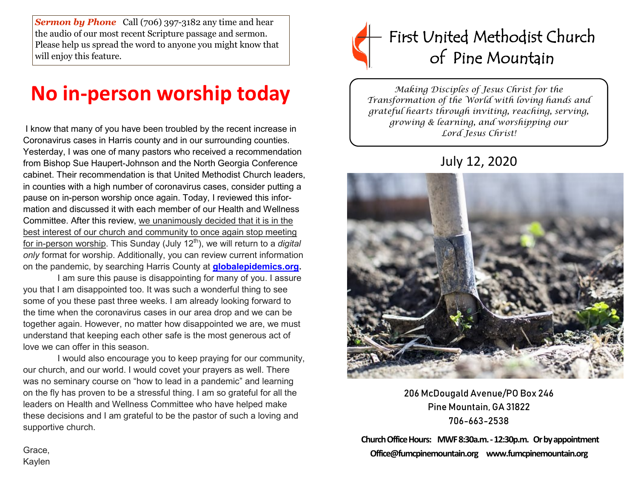*Sermon by Phone* Call (706) 397-3182 any time and hear the audio of our most recent Scripture passage and sermon. Please help us spread the word to anyone you might know that will enjoy this feature.

# **No in-person worship today**

I know that many of you have been troubled by the recent increase in Coronavirus cases in Harris county and in our surrounding counties. Yesterday, I was one of many pastors who received a recommendation from Bishop Sue Haupert-Johnson and the North Georgia Conference cabinet. Their recommendation is that United Methodist Church leaders, in counties with a high number of coronavirus cases, consider putting a pause on in-person worship once again. Today, I reviewed this information and discussed it with each member of our Health and Wellness Committee. After this review, we unanimously decided that it is in the best interest of our church and community to once again stop meeting for in-person worship. This Sunday (July 12<sup>th</sup>), we will return to a *digital only* format for worship. Additionally, you can review current information on the pandemic, by searching Harris County at **[globalepidemics.org.](https://ngumc.us14.list-manage.com/track/click?u=8c4a2bf5df821f76fea333283&id=d1e28e8208&e=3481a1da88)**

 I am sure this pause is disappointing for many of you. I assure you that I am disappointed too. It was such a wonderful thing to see some of you these past three weeks. I am already looking forward to the time when the coronavirus cases in our area drop and we can be together again. However, no matter how disappointed we are, we must understand that keeping each other safe is the most generous act of love we can offer in this season.

 I would also encourage you to keep praying for our community, our church, and our world. I would covet your prayers as well. There was no seminary course on "how to lead in a pandemic" and learning on the fly has proven to be a stressful thing. I am so grateful for all the leaders on Health and Wellness Committee who have helped make these decisions and I am grateful to be the pastor of such a loving and supportive church.



*Making Disciples of Jesus Christ for the Transformation of the World with loving hands and grateful hearts through inviting, reaching, serving, growing & learning, and worshipping our Lord Jesus Christ!* 

## July 12, 2020



206 McDougald Avenue/PO Box 246 Pine Mountain, GA 31822 706-663-2538

**Church Office Hours: MWF 8:30a.m. -12:30p.m. Or by appointment Office@fumcpinemountain.org www.fumcpinemountain.org**

Grace, Kaylen